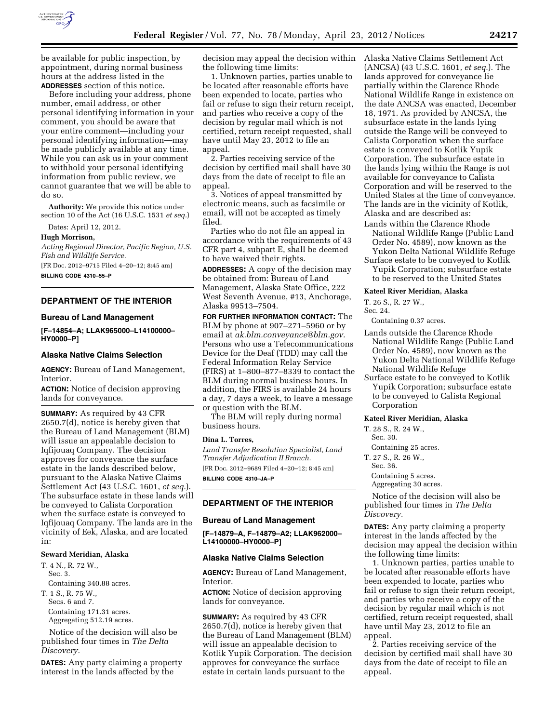

be available for public inspection, by appointment, during normal business hours at the address listed in the **ADDRESSES** section of this notice.

Before including your address, phone number, email address, or other personal identifying information in your comment, you should be aware that your entire comment—including your personal identifying information—may be made publicly available at any time. While you can ask us in your comment to withhold your personal identifying information from public review, we cannot guarantee that we will be able to do so.

**Authority:** We provide this notice under section 10 of the Act (16 U.S.C. 1531 *et seq.*)

Dates: April 12, 2012.

#### **Hugh Morrison,**

*Acting Regional Director, Pacific Region, U.S. Fish and Wildlife Service.* 

[FR Doc. 2012–9715 Filed 4–20–12; 8:45 am]

**BILLING CODE 4310–55–P** 

# **DEPARTMENT OF THE INTERIOR**

#### **Bureau of Land Management**

**[F–14854–A; LLAK965000–L14100000– HY0000–P]** 

## **Alaska Native Claims Selection**

**AGENCY:** Bureau of Land Management, Interior.

**ACTION:** Notice of decision approving lands for conveyance.

**SUMMARY:** As required by 43 CFR 2650.7(d), notice is hereby given that the Bureau of Land Management (BLM) will issue an appealable decision to Iqfijouaq Company. The decision approves for conveyance the surface estate in the lands described below, pursuant to the Alaska Native Claims Settlement Act (43 U.S.C. 1601, *et seq.*). The subsurface estate in these lands will be conveyed to Calista Corporation when the surface estate is conveyed to Iqfijouaq Company. The lands are in the vicinity of Eek, Alaska, and are located in:

#### **Seward Meridian, Alaska**

T. 4 N., R. 72 W. Sec. 3. Containing 340.88 acres. T. 1 S., R. 75 W., Secs. 6 and 7. Containing 171.31 acres. Aggregating 512.19 acres.

Notice of the decision will also be published four times in *The Delta Discovery.* 

**DATES:** Any party claiming a property interest in the lands affected by the

decision may appeal the decision within the following time limits:

1. Unknown parties, parties unable to be located after reasonable efforts have been expended to locate, parties who fail or refuse to sign their return receipt, and parties who receive a copy of the decision by regular mail which is not certified, return receipt requested, shall have until May 23, 2012 to file an appeal.

2. Parties receiving service of the decision by certified mail shall have 30 days from the date of receipt to file an appeal.

3. Notices of appeal transmitted by electronic means, such as facsimile or email, will not be accepted as timely filed.

Parties who do not file an appeal in accordance with the requirements of 43 CFR part 4, subpart E, shall be deemed to have waived their rights.

**ADDRESSES:** A copy of the decision may be obtained from: Bureau of Land Management, Alaska State Office, 222 West Seventh Avenue, #13, Anchorage, Alaska 99513–7504.

**FOR FURTHER INFORMATION CONTACT:** The BLM by phone at 907–271–5960 or by email at *[ak.blm.conveyance@blm.gov.](mailto:ak.blm.conveyance@blm.gov)*  Persons who use a Telecommunications Device for the Deaf (TDD) may call the Federal Information Relay Service (FIRS) at 1–800–877–8339 to contact the BLM during normal business hours. In addition, the FIRS is available 24 hours a day, 7 days a week, to leave a message or question with the BLM.

The BLM will reply during normal business hours.

#### **Dina L. Torres,**

*Land Transfer Resolution Specialist, Land Transfer Adjudication II Branch.*  [FR Doc. 2012–9689 Filed 4–20–12; 8:45 am] **BILLING CODE 4310–JA–P** 

# **DEPARTMENT OF THE INTERIOR**

## **Bureau of Land Management**

**[F–14879–A, F–14879–A2; LLAK962000– L14100000–HY0000–P]** 

## **Alaska Native Claims Selection**

**AGENCY:** Bureau of Land Management, Interior.

**ACTION:** Notice of decision approving lands for conveyance.

**SUMMARY:** As required by 43 CFR 2650.7(d), notice is hereby given that the Bureau of Land Management (BLM) will issue an appealable decision to Kotlik Yupik Corporation. The decision approves for conveyance the surface estate in certain lands pursuant to the

Alaska Native Claims Settlement Act (ANCSA) (43 U.S.C. 1601, *et seq.*). The lands approved for conveyance lie partially within the Clarence Rhode National Wildlife Range in existence on the date ANCSA was enacted, December 18, 1971. As provided by ANCSA, the subsurface estate in the lands lying outside the Range will be conveyed to Calista Corporation when the surface estate is conveyed to Kotlik Yupik Corporation. The subsurface estate in the lands lying within the Range is not available for conveyance to Calista Corporation and will be reserved to the United States at the time of conveyance. The lands are in the vicinity of Kotlik, Alaska and are described as: Lands within the Clarence Rhode

National Wildlife Range (Public Land Order No. 4589), now known as the

Yukon Delta National Wildlife Refuge Surface estate to be conveyed to Kotlik Yupik Corporation; subsurface estate to be reserved to the United States

#### **Kateel River Meridian, Alaska**

T. 26 S., R. 27 W.,

## Sec. 24.

Containing 0.37 acres.

- Lands outside the Clarence Rhode National Wildlife Range (Public Land Order No. 4589), now known as the Yukon Delta National Wildlife Refuge National Wildlife Refuge
- Surface estate to be conveyed to Kotlik Yupik Corporation; subsurface estate to be conveyed to Calista Regional Corporation

#### **Kateel River Meridian, Alaska**

T. 28 S., R. 24 W.,

Sec. 30.

Containing 25 acres.

- T. 27 S., R. 26 W., Sec. 36.
- 

Containing 5 acres.

Aggregating 30 acres.

Notice of the decision will also be published four times in *The Delta Discovery.* 

**DATES:** Any party claiming a property interest in the lands affected by the decision may appeal the decision within the following time limits:

1. Unknown parties, parties unable to be located after reasonable efforts have been expended to locate, parties who fail or refuse to sign their return receipt, and parties who receive a copy of the decision by regular mail which is not certified, return receipt requested, shall have until May 23, 2012 to file an appeal.

2. Parties receiving service of the decision by certified mail shall have 30 days from the date of receipt to file an appeal.